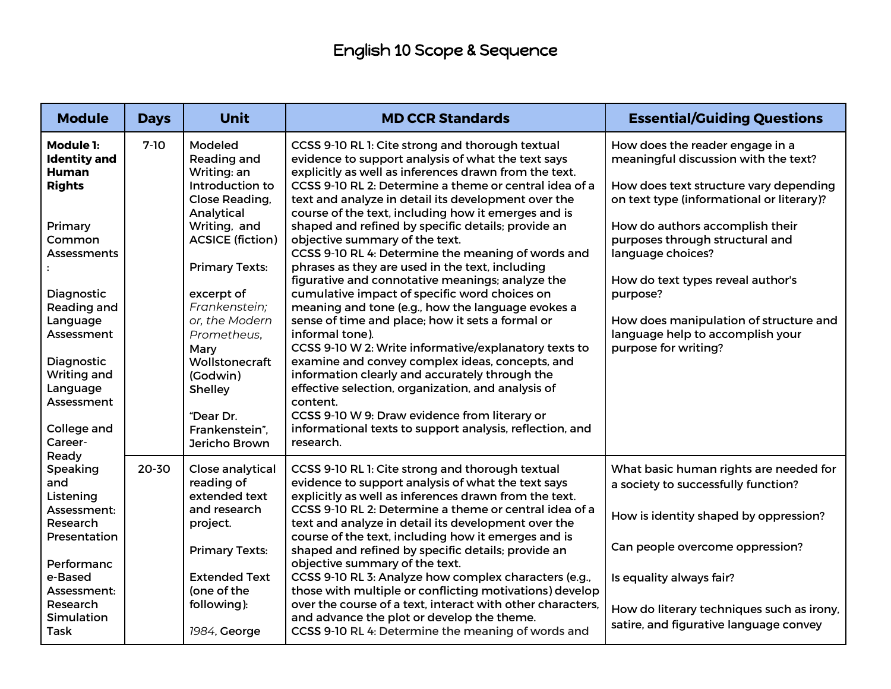| <b>Module</b>                                           | <b>Days</b> | <b>Unit</b>                                     | <b>MD CCR Standards</b>                                                                                                                                              | <b>Essential/Guiding Questions</b>                                                      |
|---------------------------------------------------------|-------------|-------------------------------------------------|----------------------------------------------------------------------------------------------------------------------------------------------------------------------|-----------------------------------------------------------------------------------------|
| <b>Module 1:</b><br><b>Identity and</b><br><b>Human</b> | $7-10$      | Modeled<br>Reading and<br>Writing: an           | CCSS 9-10 RL 1: Cite strong and thorough textual<br>evidence to support analysis of what the text says<br>explicitly as well as inferences drawn from the text.      | How does the reader engage in a<br>meaningful discussion with the text?                 |
| <b>Rights</b>                                           |             | Introduction to<br>Close Reading,<br>Analytical | CCSS 9-10 RL 2: Determine a theme or central idea of a<br>text and analyze in detail its development over the<br>course of the text, including how it emerges and is | How does text structure vary depending<br>on text type (informational or literary)?     |
| Primary<br>Common<br><b>Assessments</b>                 |             | Writing, and<br><b>ACSICE (fiction)</b>         | shaped and refined by specific details; provide an<br>objective summary of the text.<br>CCSS 9-10 RL 4: Determine the meaning of words and                           | How do authors accomplish their<br>purposes through structural and<br>language choices? |
|                                                         |             | <b>Primary Texts:</b>                           | phrases as they are used in the text, including<br>figurative and connotative meanings; analyze the                                                                  | How do text types reveal author's                                                       |
| Diagnostic<br>Reading and<br>Language                   |             | excerpt of<br>Frankenstein;<br>or, the Modern   | cumulative impact of specific word choices on<br>meaning and tone (e.g., how the language evokes a<br>sense of time and place; how it sets a formal or               | purpose?<br>How does manipulation of structure and                                      |
| Assessment<br>Diagnostic                                |             | Prometheus,<br>Mary<br>Wollstonecraft           | informal tone).<br>CCSS 9-10 W 2: Write informative/explanatory texts to<br>examine and convey complex ideas, concepts, and                                          | language help to accomplish your<br>purpose for writing?                                |
| Writing and<br>Language                                 |             | (Godwin)<br>Shelley                             | information clearly and accurately through the<br>effective selection, organization, and analysis of                                                                 |                                                                                         |
| Assessment<br>College and                               |             | "Dear Dr.<br>Frankenstein",                     | content.<br>CCSS 9-10 W 9: Draw evidence from literary or<br>informational texts to support analysis, reflection, and                                                |                                                                                         |
| Career-<br>Ready                                        |             | Jericho Brown                                   | research.                                                                                                                                                            |                                                                                         |
| Speaking<br>and<br>Listening                            | 20-30       | Close analytical<br>reading of<br>extended text | CCSS 9-10 RL 1: Cite strong and thorough textual<br>evidence to support analysis of what the text says<br>explicitly as well as inferences drawn from the text.      | What basic human rights are needed for<br>a society to successfully function?           |
| Assessment:<br>Research<br>Presentation                 |             | and research<br>project.                        | CCSS 9-10 RL 2: Determine a theme or central idea of a<br>text and analyze in detail its development over the<br>course of the text, including how it emerges and is | How is identity shaped by oppression?                                                   |
| Performanc                                              |             | <b>Primary Texts:</b>                           | shaped and refined by specific details; provide an<br>objective summary of the text.                                                                                 | Can people overcome oppression?                                                         |
| e-Based<br>Assessment:                                  |             | <b>Extended Text</b><br>(one of the             | CCSS 9-10 RL 3: Analyze how complex characters (e.g.,<br>those with multiple or conflicting motivations) develop                                                     | Is equality always fair?                                                                |
| Research<br>Simulation<br><b>Task</b>                   |             | following):<br>1984, George                     | over the course of a text, interact with other characters,<br>and advance the plot or develop the theme.<br>CCSS 9-10 RL 4: Determine the meaning of words and       | How do literary techniques such as irony,<br>satire, and figurative language convey     |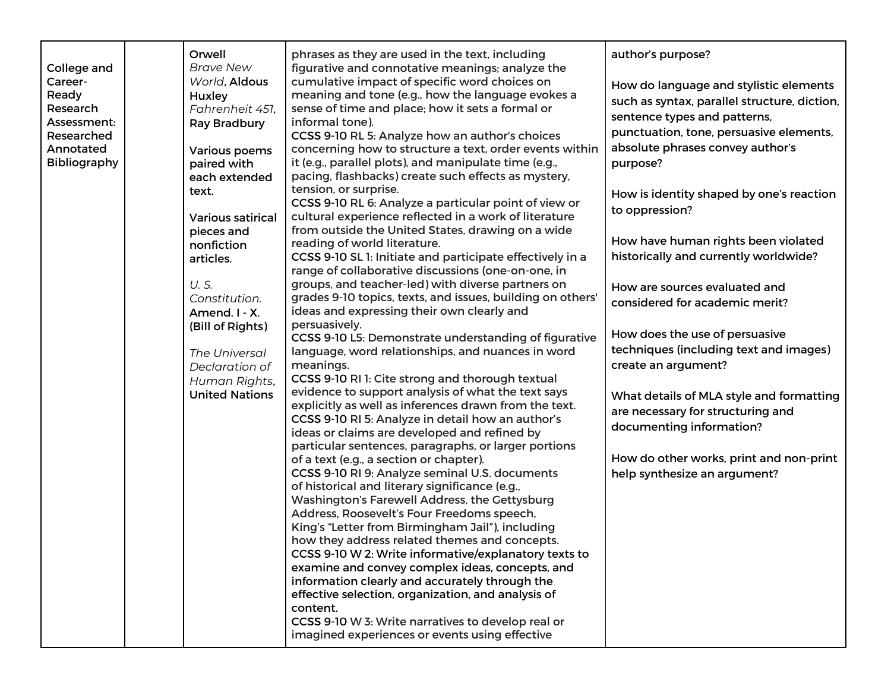|              | Orwell                   | phrases as they are used in the text, including            | author's purpose?                            |
|--------------|--------------------------|------------------------------------------------------------|----------------------------------------------|
| College and  | <b>Brave New</b>         | figurative and connotative meanings; analyze the           |                                              |
| Career-      | World, Aldous            | cumulative impact of specific word choices on              | How do language and stylistic elements       |
| Ready        | Huxley                   | meaning and tone (e.g., how the language evokes a          | such as syntax, parallel structure, diction, |
| Research     | Fahrenheit 451,          | sense of time and place; how it sets a formal or           |                                              |
| Assessment:  | Ray Bradbury             | informal tone).                                            | sentence types and patterns,                 |
| Researched   |                          | CCSS 9-10 RL 5: Analyze how an author's choices            | punctuation, tone, persuasive elements,      |
| Annotated    | <b>Various poems</b>     | concerning how to structure a text, order events within    | absolute phrases convey author's             |
| Bibliography | paired with              | it (e.g., parallel plots), and manipulate time (e.g.,      | purpose?                                     |
|              | each extended            | pacing, flashbacks) create such effects as mystery,        |                                              |
|              | text.                    | tension, or surprise.                                      | How is identity shaped by one's reaction     |
|              |                          | CCSS 9-10 RL 6: Analyze a particular point of view or      |                                              |
|              | <b>Various satirical</b> | cultural experience reflected in a work of literature      | to oppression?                               |
|              | pieces and               | from outside the United States, drawing on a wide          |                                              |
|              | nonfiction               | reading of world literature.                               | How have human rights been violated          |
|              | articles.                | CCSS 9-10 SL 1: Initiate and participate effectively in a  | historically and currently worldwide?        |
|              |                          | range of collaborative discussions (one-on-one, in         |                                              |
|              | U.S.                     | groups, and teacher-led) with diverse partners on          | How are sources evaluated and                |
|              | Constitution.            | grades 9-10 topics, texts, and issues, building on others' |                                              |
|              | Amend. I - X.            | ideas and expressing their own clearly and                 | considered for academic merit?               |
|              | (Bill of Rights)         | persuasively.                                              |                                              |
|              |                          | CCSS 9-10 L5: Demonstrate understanding of figurative      | How does the use of persuasive               |
|              | The Universal            | language, word relationships, and nuances in word          | techniques (including text and images)       |
|              | Declaration of           | meanings.                                                  | create an argument?                          |
|              | Human Rights,            | CCSS 9-10 RI 1: Cite strong and thorough textual           |                                              |
|              | <b>United Nations</b>    | evidence to support analysis of what the text says         | What details of MLA style and formatting     |
|              |                          | explicitly as well as inferences drawn from the text.      |                                              |
|              |                          | CCSS 9-10 RI 5: Analyze in detail how an author's          | are necessary for structuring and            |
|              |                          | ideas or claims are developed and refined by               | documenting information?                     |
|              |                          | particular sentences, paragraphs, or larger portions       |                                              |
|              |                          | of a text (e.g., a section or chapter).                    | How do other works, print and non-print      |
|              |                          | CCSS 9-10 RI 9: Analyze seminal U.S. documents             | help synthesize an argument?                 |
|              |                          | of historical and literary significance (e.g.,             |                                              |
|              |                          | Washington's Farewell Address, the Gettysburg              |                                              |
|              |                          | Address, Roosevelt's Four Freedoms speech,                 |                                              |
|              |                          | King's "Letter from Birmingham Jail"), including           |                                              |
|              |                          | how they address related themes and concepts.              |                                              |
|              |                          | CCSS 9-10 W 2: Write informative/explanatory texts to      |                                              |
|              |                          | examine and convey complex ideas, concepts, and            |                                              |
|              |                          | information clearly and accurately through the             |                                              |
|              |                          | effective selection, organization, and analysis of         |                                              |
|              |                          | content.                                                   |                                              |
|              |                          | CCSS 9-10 W 3: Write narratives to develop real or         |                                              |
|              |                          | imagined experiences or events using effective             |                                              |
|              |                          |                                                            |                                              |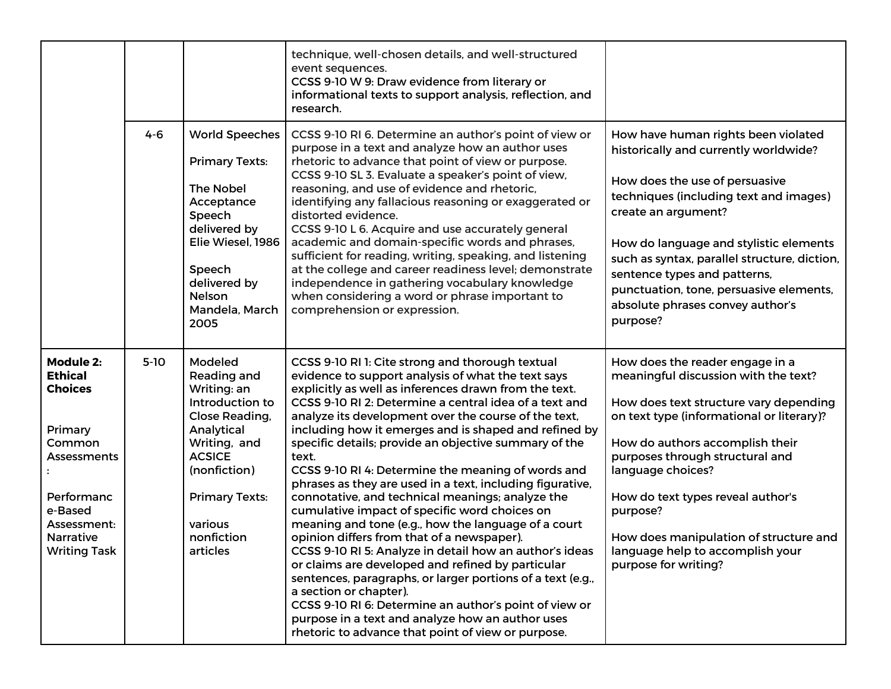|                                                                                                                                                                      |         |                                                                                                                                                                                                         | technique, well-chosen details, and well-structured<br>event sequences.<br>CCSS 9-10 W 9: Draw evidence from literary or<br>informational texts to support analysis, reflection, and                                                                                                                                                                                                                                                                                                                                                                                                                                                                                                                                                                                                                                                                                                                                                                                                                                                                                                                                  |                                                                                                                                                                                                                                                                                                                                                                                                                  |
|----------------------------------------------------------------------------------------------------------------------------------------------------------------------|---------|---------------------------------------------------------------------------------------------------------------------------------------------------------------------------------------------------------|-----------------------------------------------------------------------------------------------------------------------------------------------------------------------------------------------------------------------------------------------------------------------------------------------------------------------------------------------------------------------------------------------------------------------------------------------------------------------------------------------------------------------------------------------------------------------------------------------------------------------------------------------------------------------------------------------------------------------------------------------------------------------------------------------------------------------------------------------------------------------------------------------------------------------------------------------------------------------------------------------------------------------------------------------------------------------------------------------------------------------|------------------------------------------------------------------------------------------------------------------------------------------------------------------------------------------------------------------------------------------------------------------------------------------------------------------------------------------------------------------------------------------------------------------|
|                                                                                                                                                                      | $4 - 6$ | <b>World Speeches</b><br><b>Primary Texts:</b><br><b>The Nobel</b><br>Acceptance<br>Speech<br>delivered by<br>Elie Wiesel, 1986<br>Speech<br>delivered by<br>Nelson<br>Mandela, March<br>2005           | research.<br>CCSS 9-10 RI 6. Determine an author's point of view or<br>purpose in a text and analyze how an author uses<br>rhetoric to advance that point of view or purpose.<br>CCSS 9-10 SL 3. Evaluate a speaker's point of view,<br>reasoning, and use of evidence and rhetoric,<br>identifying any fallacious reasoning or exaggerated or<br>distorted evidence.<br>CCSS 9-10 L 6. Acquire and use accurately general<br>academic and domain-specific words and phrases,<br>sufficient for reading, writing, speaking, and listening<br>at the college and career readiness level; demonstrate<br>independence in gathering vocabulary knowledge<br>when considering a word or phrase important to<br>comprehension or expression.                                                                                                                                                                                                                                                                                                                                                                               | How have human rights been violated<br>historically and currently worldwide?<br>How does the use of persuasive<br>techniques (including text and images)<br>create an argument?<br>How do language and stylistic elements<br>such as syntax, parallel structure, diction,<br>sentence types and patterns,<br>punctuation, tone, persuasive elements,<br>absolute phrases convey author's<br>purpose?             |
| <b>Module 2:</b><br><b>Ethical</b><br><b>Choices</b><br>Primary<br>Common<br>Assessments<br>Performanc<br>e-Based<br>Assessment:<br>Narrative<br><b>Writing Task</b> | $5-10$  | Modeled<br>Reading and<br>Writing: an<br>Introduction to<br>Close Reading,<br>Analytical<br>Writing, and<br><b>ACSICE</b><br>(nonfiction)<br><b>Primary Texts:</b><br>various<br>nonfiction<br>articles | CCSS 9-10 RI 1: Cite strong and thorough textual<br>evidence to support analysis of what the text says<br>explicitly as well as inferences drawn from the text.<br>CCSS 9-10 RI 2: Determine a central idea of a text and<br>analyze its development over the course of the text,<br>including how it emerges and is shaped and refined by<br>specific details; provide an objective summary of the<br>text.<br>CCSS 9-10 RI 4: Determine the meaning of words and<br>phrases as they are used in a text, including figurative,<br>connotative, and technical meanings; analyze the<br>cumulative impact of specific word choices on<br>meaning and tone (e.g., how the language of a court<br>opinion differs from that of a newspaper).<br>CCSS 9-10 RI 5: Analyze in detail how an author's ideas<br>or claims are developed and refined by particular<br>sentences, paragraphs, or larger portions of a text (e.g.,<br>a section or chapter).<br>CCSS 9-10 RI 6: Determine an author's point of view or<br>purpose in a text and analyze how an author uses<br>rhetoric to advance that point of view or purpose. | How does the reader engage in a<br>meaningful discussion with the text?<br>How does text structure vary depending<br>on text type (informational or literary)?<br>How do authors accomplish their<br>purposes through structural and<br>language choices?<br>How do text types reveal author's<br>purpose?<br>How does manipulation of structure and<br>language help to accomplish your<br>purpose for writing? |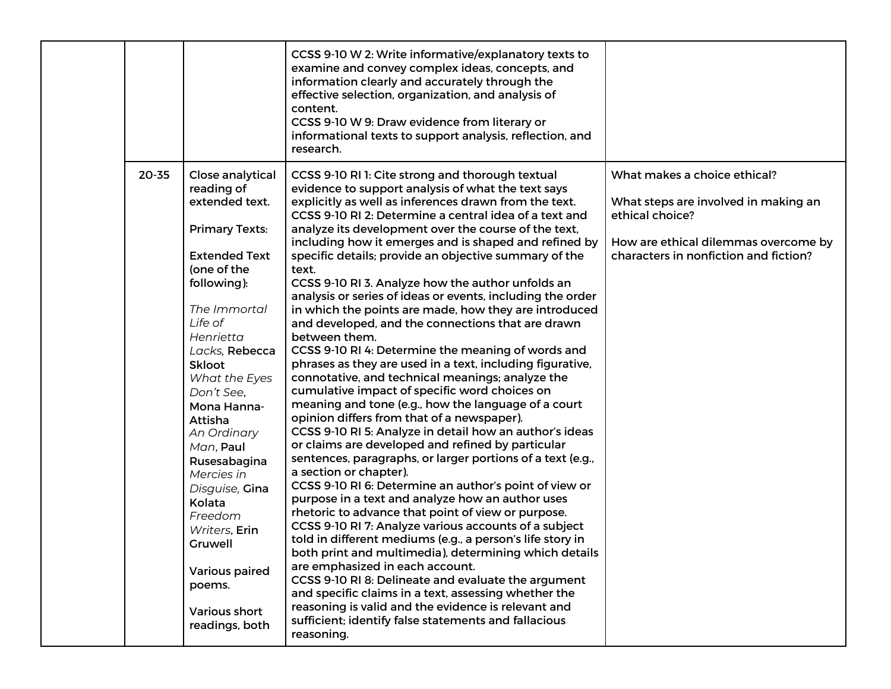|           |                                                                                                                                                                                                                                                                                                                                                                                                                                                                 | CCSS 9-10 W 2: Write informative/explanatory texts to<br>examine and convey complex ideas, concepts, and<br>information clearly and accurately through the<br>effective selection, organization, and analysis of<br>content.<br>CCSS 9-10 W 9: Draw evidence from literary or<br>informational texts to support analysis, reflection, and<br>research.                                                                                                                                                                                                                                                                                                                                                                                                                                                                                                                                                                                                                                                                                                                                                                                                                                                                                                                                                                                                                                                                                                                                                                                                                                                                                                                                                                                                                                                                                |                                                                                                                                                                          |
|-----------|-----------------------------------------------------------------------------------------------------------------------------------------------------------------------------------------------------------------------------------------------------------------------------------------------------------------------------------------------------------------------------------------------------------------------------------------------------------------|---------------------------------------------------------------------------------------------------------------------------------------------------------------------------------------------------------------------------------------------------------------------------------------------------------------------------------------------------------------------------------------------------------------------------------------------------------------------------------------------------------------------------------------------------------------------------------------------------------------------------------------------------------------------------------------------------------------------------------------------------------------------------------------------------------------------------------------------------------------------------------------------------------------------------------------------------------------------------------------------------------------------------------------------------------------------------------------------------------------------------------------------------------------------------------------------------------------------------------------------------------------------------------------------------------------------------------------------------------------------------------------------------------------------------------------------------------------------------------------------------------------------------------------------------------------------------------------------------------------------------------------------------------------------------------------------------------------------------------------------------------------------------------------------------------------------------------------|--------------------------------------------------------------------------------------------------------------------------------------------------------------------------|
| $20 - 35$ | Close analytical<br>reading of<br>extended text.<br><b>Primary Texts:</b><br><b>Extended Text</b><br>(one of the<br>following):<br>The Immortal<br>Life of<br>Henrietta<br>Lacks, Rebecca<br><b>Skloot</b><br>What the Eyes<br>Don't See,<br>Mona Hanna-<br>Attisha<br>An Ordinary<br>Man, Paul<br>Rusesabagina<br>Mercies in<br>Disguise, Gina<br>Kolata<br>Freedom<br>Writers, Erin<br>Gruwell<br>Various paired<br>poems.<br>Various short<br>readings, both | CCSS 9-10 RI 1: Cite strong and thorough textual<br>evidence to support analysis of what the text says<br>explicitly as well as inferences drawn from the text.<br>CCSS 9-10 RI 2: Determine a central idea of a text and<br>analyze its development over the course of the text,<br>including how it emerges and is shaped and refined by<br>specific details; provide an objective summary of the<br>text.<br>CCSS 9-10 RI 3. Analyze how the author unfolds an<br>analysis or series of ideas or events, including the order<br>in which the points are made, how they are introduced<br>and developed, and the connections that are drawn<br>between them.<br>CCSS 9-10 RI 4: Determine the meaning of words and<br>phrases as they are used in a text, including figurative,<br>connotative, and technical meanings; analyze the<br>cumulative impact of specific word choices on<br>meaning and tone (e.g., how the language of a court<br>opinion differs from that of a newspaper).<br>CCSS 9-10 RI 5: Analyze in detail how an author's ideas<br>or claims are developed and refined by particular<br>sentences, paragraphs, or larger portions of a text (e.g.,<br>a section or chapter).<br>CCSS 9-10 RI 6: Determine an author's point of view or<br>purpose in a text and analyze how an author uses<br>rhetoric to advance that point of view or purpose.<br>CCSS 9-10 RI 7: Analyze various accounts of a subject<br>told in different mediums (e.g., a person's life story in<br>both print and multimedia), determining which details<br>are emphasized in each account.<br>CCSS 9-10 RI 8: Delineate and evaluate the argument<br>and specific claims in a text, assessing whether the<br>reasoning is valid and the evidence is relevant and<br>sufficient; identify false statements and fallacious<br>reasoning. | What makes a choice ethical?<br>What steps are involved in making an<br>ethical choice?<br>How are ethical dilemmas overcome by<br>characters in nonfiction and fiction? |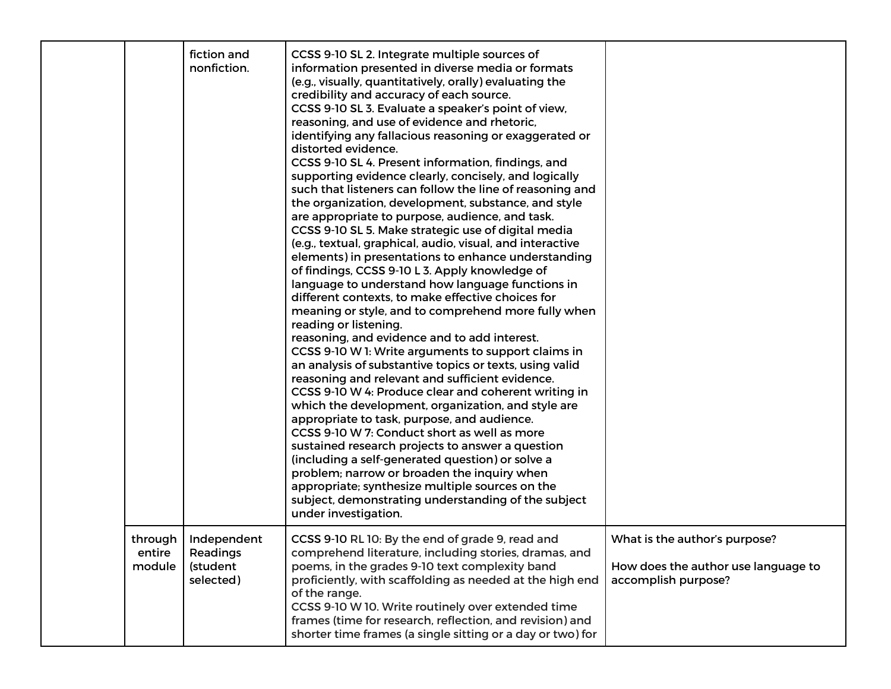|                               | fiction and<br>nonfiction.                       | CCSS 9-10 SL 2. Integrate multiple sources of<br>information presented in diverse media or formats<br>(e.g., visually, quantitatively, orally) evaluating the<br>credibility and accuracy of each source.<br>CCSS 9-10 SL 3. Evaluate a speaker's point of view,<br>reasoning, and use of evidence and rhetoric,<br>identifying any fallacious reasoning or exaggerated or<br>distorted evidence.<br>CCSS 9-10 SL 4. Present information, findings, and<br>supporting evidence clearly, concisely, and logically<br>such that listeners can follow the line of reasoning and<br>the organization, development, substance, and style<br>are appropriate to purpose, audience, and task.<br>CCSS 9-10 SL 5. Make strategic use of digital media<br>(e.g., textual, graphical, audio, visual, and interactive<br>elements) in presentations to enhance understanding<br>of findings, CCSS 9-10 L 3. Apply knowledge of<br>language to understand how language functions in<br>different contexts, to make effective choices for<br>meaning or style, and to comprehend more fully when<br>reading or listening.<br>reasoning, and evidence and to add interest.<br>CCSS 9-10 W 1: Write arguments to support claims in<br>an analysis of substantive topics or texts, using valid<br>reasoning and relevant and sufficient evidence.<br>CCSS 9-10 W 4: Produce clear and coherent writing in<br>which the development, organization, and style are<br>appropriate to task, purpose, and audience.<br>CCSS 9-10 W 7: Conduct short as well as more<br>sustained research projects to answer a question<br>(including a self-generated question) or solve a<br>problem; narrow or broaden the inquiry when<br>appropriate; synthesize multiple sources on the<br>subject, demonstrating understanding of the subject<br>under investigation. |                                                                                             |
|-------------------------------|--------------------------------------------------|-----------------------------------------------------------------------------------------------------------------------------------------------------------------------------------------------------------------------------------------------------------------------------------------------------------------------------------------------------------------------------------------------------------------------------------------------------------------------------------------------------------------------------------------------------------------------------------------------------------------------------------------------------------------------------------------------------------------------------------------------------------------------------------------------------------------------------------------------------------------------------------------------------------------------------------------------------------------------------------------------------------------------------------------------------------------------------------------------------------------------------------------------------------------------------------------------------------------------------------------------------------------------------------------------------------------------------------------------------------------------------------------------------------------------------------------------------------------------------------------------------------------------------------------------------------------------------------------------------------------------------------------------------------------------------------------------------------------------------------------------------------------------------------------------------------------------------------------|---------------------------------------------------------------------------------------------|
| through I<br>entire<br>module | Independent<br>Readings<br>(student<br>selected) | CCSS 9-10 RL 10: By the end of grade 9, read and<br>comprehend literature, including stories, dramas, and<br>poems, in the grades 9-10 text complexity band<br>proficiently, with scaffolding as needed at the high end<br>of the range.<br>CCSS 9-10 W 10. Write routinely over extended time<br>frames (time for research, reflection, and revision) and<br>shorter time frames (a single sitting or a day or two) for                                                                                                                                                                                                                                                                                                                                                                                                                                                                                                                                                                                                                                                                                                                                                                                                                                                                                                                                                                                                                                                                                                                                                                                                                                                                                                                                                                                                                | What is the author's purpose?<br>How does the author use language to<br>accomplish purpose? |